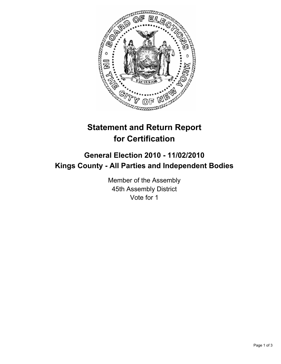

## **Statement and Return Report for Certification**

## **General Election 2010 - 11/02/2010 Kings County - All Parties and Independent Bodies**

Member of the Assembly 45th Assembly District Vote for 1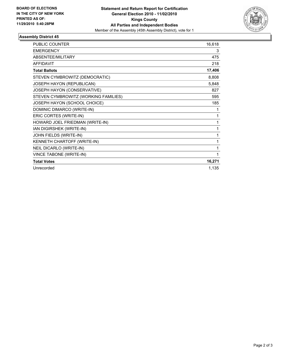

## **Assembly District 45**

| <b>PUBLIC COUNTER</b>                | 16,618 |
|--------------------------------------|--------|
| <b>EMERGENCY</b>                     | 3      |
| <b>ABSENTEE/MILITARY</b>             | 475    |
| <b>AFFIDAVIT</b>                     | 218    |
| <b>Total Ballots</b>                 | 17,406 |
| STEVEN CYMBROWITZ (DEMOCRATIC)       | 8,808  |
| JOSEPH HAYON (REPUBLICAN)            | 5,848  |
| JOSEPH HAYON (CONSERVATIVE)          | 827    |
| STEVEN CYMBROWITZ (WORKING FAMILIES) | 595    |
| JOSEPH HAYON (SCHOOL CHOICE)         | 185    |
| DOMINIC DIMARCO (WRITE-IN)           | 1      |
| ERIC CORTES (WRITE-IN)               | 1      |
| HOWARD JOEL FRIEDMAN (WRITE-IN)      | 1      |
| IAN DIGIRSHEK (WRITE-IN)             | 1      |
| JOHN FIELDS (WRITE-IN)               | 1      |
| KENNETH CHARTOFF (WRITE-IN)          | 1      |
| NEIL DICARLO (WRITE-IN)              | 1      |
| VINCE TABONE (WRITE-IN)              | 1      |
| <b>Total Votes</b>                   | 16,271 |
| Unrecorded                           | 1,135  |